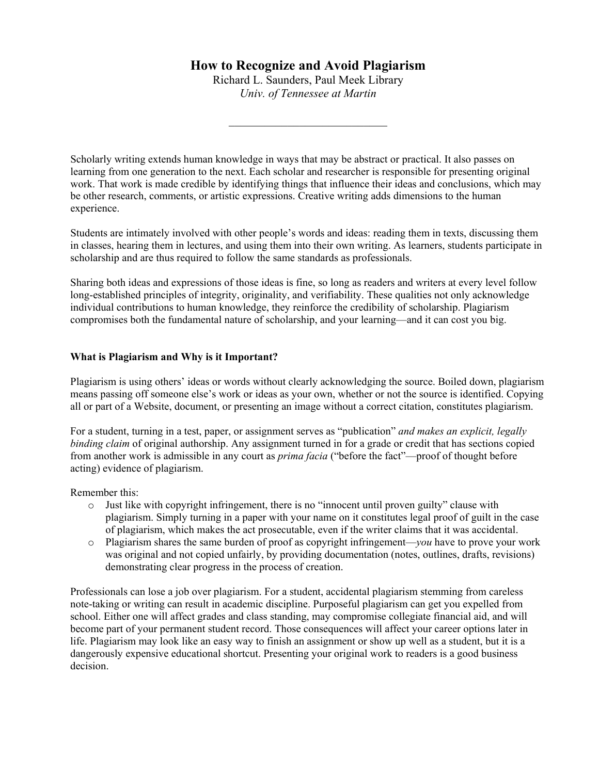Richard L. Saunders, Paul Meek Library *Univ. of Tennessee at Martin*

\_\_\_\_\_\_\_\_\_\_\_\_\_\_\_\_\_\_\_\_\_\_\_\_\_\_\_

Scholarly writing extends human knowledge in ways that may be abstract or practical. It also passes on learning from one generation to the next. Each scholar and researcher is responsible for presenting original work. That work is made credible by identifying things that influence their ideas and conclusions, which may be other research, comments, or artistic expressions. Creative writing adds dimensions to the human experience.

Students are intimately involved with other people's words and ideas: reading them in texts, discussing them in classes, hearing them in lectures, and using them into their own writing. As learners, students participate in scholarship and are thus required to follow the same standards as professionals.

Sharing both ideas and expressions of those ideas is fine, so long as readers and writers at every level follow long-established principles of integrity, originality, and verifiability. These qualities not only acknowledge individual contributions to human knowledge, they reinforce the credibility of scholarship. Plagiarism compromises both the fundamental nature of scholarship, and your learning—and it can cost you big.

#### **What is Plagiarism and Why is it Important?**

Plagiarism is using others' ideas or words without clearly acknowledging the source. Boiled down, plagiarism means passing off someone else's work or ideas as your own, whether or not the source is identified. Copying all or part of a Website, document, or presenting an image without a correct citation, constitutes plagiarism.

For a student, turning in a test, paper, or assignment serves as "publication" *and makes an explicit, legally binding claim* of original authorship. Any assignment turned in for a grade or credit that has sections copied from another work is admissible in any court as *prima facia* ("before the fact"—proof of thought before acting) evidence of plagiarism.

Remember this:

- o Just like with copyright infringement, there is no "innocent until proven guilty" clause with plagiarism. Simply turning in a paper with your name on it constitutes legal proof of guilt in the case of plagiarism, which makes the act prosecutable, even if the writer claims that it was accidental.
- o Plagiarism shares the same burden of proof as copyright infringement—*you* have to prove your work was original and not copied unfairly, by providing documentation (notes, outlines, drafts, revisions) demonstrating clear progress in the process of creation.

Professionals can lose a job over plagiarism. For a student, accidental plagiarism stemming from careless note-taking or writing can result in academic discipline. Purposeful plagiarism can get you expelled from school. Either one will affect grades and class standing, may compromise collegiate financial aid, and will become part of your permanent student record. Those consequences will affect your career options later in life. Plagiarism may look like an easy way to finish an assignment or show up well as a student, but it is a dangerously expensive educational shortcut. Presenting your original work to readers is a good business decision.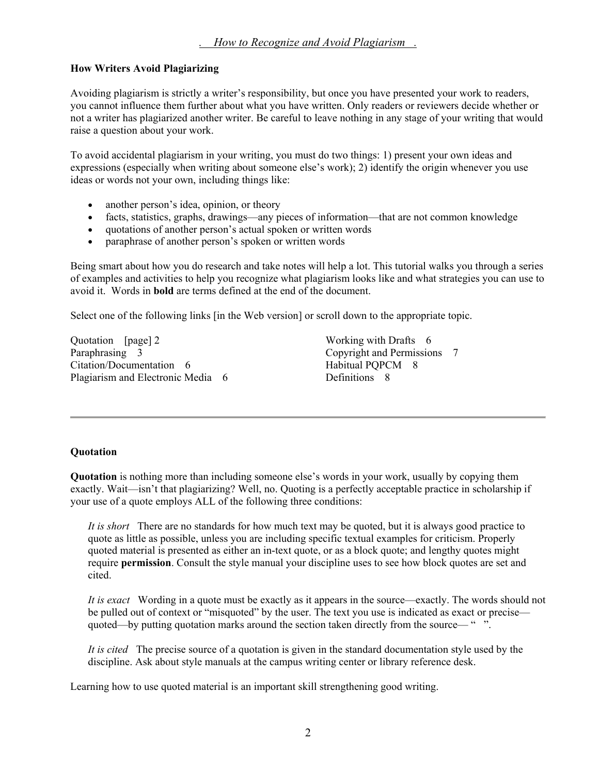### **How Writers Avoid Plagiarizing**

Avoiding plagiarism is strictly a writer's responsibility, but once you have presented your work to readers, you cannot influence them further about what you have written. Only readers or reviewers decide whether or not a writer has plagiarized another writer. Be careful to leave nothing in any stage of your writing that would raise a question about your work.

To avoid accidental plagiarism in your writing, you must do two things: 1) present your own ideas and expressions (especially when writing about someone else's work); 2) identify the origin whenever you use ideas or words not your own, including things like:

- another person's idea, opinion, or theory
- facts, statistics, graphs, drawings—any pieces of information—that are not common knowledge
- quotations of another person's actual spoken or written words
- paraphrase of another person's spoken or written words

Being smart about how you do research and take notes will help a lot. This tutorial walks you through a series of examples and activities to help you recognize what plagiarism looks like and what strategies you can use to avoid it. Words in **bold** are terms defined at the end of the document.

Select one of the following links [in the Web version] or scroll down to the appropriate topic.

Quotation [page] 2 Paraphrasing 3 Citation/Documentation 6 Plagiarism and Electronic Media 6 Working with Drafts 6 Copyright and Permissions 7 Habitual PQPCM 8 Definitions 8

### **Quotation**

**Quotation** is nothing more than including someone else's words in your work, usually by copying them exactly. Wait—isn't that plagiarizing? Well, no. Quoting is a perfectly acceptable practice in scholarship if your use of a quote employs ALL of the following three conditions:

*It is short* There are no standards for how much text may be quoted, but it is always good practice to quote as little as possible, unless you are including specific textual examples for criticism. Properly quoted material is presented as either an in-text quote, or as a block quote; and lengthy quotes might require **permission**. Consult the style manual your discipline uses to see how block quotes are set and cited.

*It is exact* Wording in a quote must be exactly as it appears in the source—exactly. The words should not be pulled out of context or "misquoted" by the user. The text you use is indicated as exact or precise quoted—by putting quotation marks around the section taken directly from the source— " ".

*It is cited* The precise source of a quotation is given in the standard documentation style used by the discipline. Ask about style manuals at the campus writing center or library reference desk.

Learning how to use quoted material is an important skill strengthening good writing.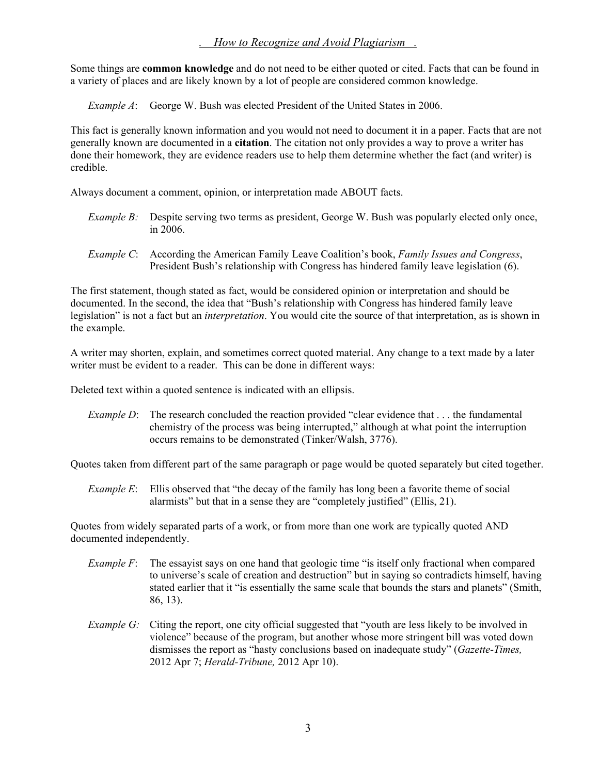Some things are **common knowledge** and do not need to be either quoted or cited. Facts that can be found in a variety of places and are likely known by a lot of people are considered common knowledge.

*Example A*: George W. Bush was elected President of the United States in 2006.

This fact is generally known information and you would not need to document it in a paper. Facts that are not generally known are documented in a **citation**. The citation not only provides a way to prove a writer has done their homework, they are evidence readers use to help them determine whether the fact (and writer) is credible.

Always document a comment, opinion, or interpretation made ABOUT facts.

- *Example B:* Despite serving two terms as president, George W. Bush was popularly elected only once, in 2006.
- *Example C*: According the American Family Leave Coalition's book, *Family Issues and Congress*, President Bush's relationship with Congress has hindered family leave legislation (6).

The first statement, though stated as fact, would be considered opinion or interpretation and should be documented. In the second, the idea that "Bush's relationship with Congress has hindered family leave legislation" is not a fact but an *interpretation*. You would cite the source of that interpretation, as is shown in the example.

A writer may shorten, explain, and sometimes correct quoted material. Any change to a text made by a later writer must be evident to a reader. This can be done in different ways:

Deleted text within a quoted sentence is indicated with an ellipsis.

*Example D*: The research concluded the reaction provided "clear evidence that . . . the fundamental chemistry of the process was being interrupted," although at what point the interruption occurs remains to be demonstrated (Tinker/Walsh, 3776).

Quotes taken from different part of the same paragraph or page would be quoted separately but cited together.

*Example E*: Ellis observed that "the decay of the family has long been a favorite theme of social alarmists" but that in a sense they are "completely justified" (Ellis, 21).

Quotes from widely separated parts of a work, or from more than one work are typically quoted AND documented independently.

- *Example F*: The essay ist says on one hand that geologic time "is itself only fractional when compared to universe's scale of creation and destruction" but in saying so contradicts himself, having stated earlier that it "is essentially the same scale that bounds the stars and planets" (Smith, 86, 13).
- *Example G:* Citing the report, one city official suggested that "youth are less likely to be involved in violence" because of the program, but another whose more stringent bill was voted down dismisses the report as "hasty conclusions based on inadequate study" (*Gazette-Times,* 2012 Apr 7; *Herald-Tribune,* 2012 Apr 10).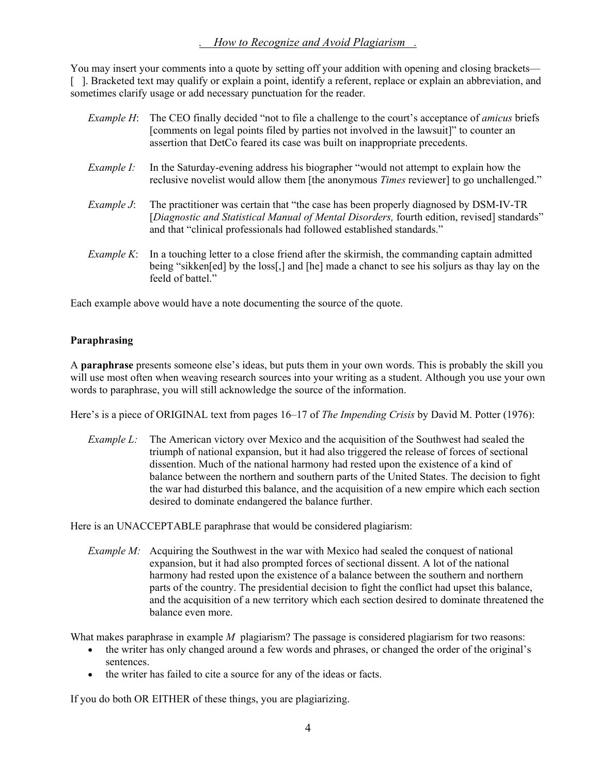You may insert your comments into a quote by setting off your addition with opening and closing brackets— [ ]. Bracketed text may qualify or explain a point, identify a referent, replace or explain an abbreviation, and sometimes clarify usage or add necessary punctuation for the reader.

| Example H:         | The CEO finally decided "not to file a challenge to the court's acceptance of <i>amicus</i> briefs<br>[comments on legal points filed by parties not involved in the lawsuit]" to counter an<br>assertion that DetCo feared its case was built on inappropriate precedents. |
|--------------------|-----------------------------------------------------------------------------------------------------------------------------------------------------------------------------------------------------------------------------------------------------------------------------|
| Example I:         | In the Saturday-evening address his biographer "would not attempt to explain how the<br>reclusive novelist would allow them [the anonymous <i>Times</i> reviewer] to go unchallenged."                                                                                      |
| Example $J$ :      | The practitioner was certain that "the case has been properly diagnosed by DSM-IV-TR<br>[Diagnostic and Statistical Manual of Mental Disorders, fourth edition, revised] standards"<br>and that "clinical professionals had followed established standards."                |
| <i>Example K</i> : | In a touching letter to a close friend after the skirmish, the commanding captain admitted<br>being "sikken[ed] by the loss[,] and [he] made a chanct to see his soljurs as thay lay on the<br>feeld of battel."                                                            |

Each example above would have a note documenting the source of the quote.

#### **Paraphrasing**

A **paraphrase** presents someone else's ideas, but puts them in your own words. This is probably the skill you will use most often when weaving research sources into your writing as a student. Although you use your own words to paraphrase, you will still acknowledge the source of the information.

Here's is a piece of ORIGINAL text from pages 16–17 of *The Impending Crisis* by David M. Potter (1976):

*Example L:* The American victory over Mexico and the acquisition of the Southwest had sealed the triumph of national expansion, but it had also triggered the release of forces of sectional dissention. Much of the national harmony had rested upon the existence of a kind of balance between the northern and southern parts of the United States. The decision to fight the war had disturbed this balance, and the acquisition of a new empire which each section desired to dominate endangered the balance further.

Here is an UNACCEPTABLE paraphrase that would be considered plagiarism:

*Example M:* Acquiring the Southwest in the war with Mexico had sealed the conquest of national expansion, but it had also prompted forces of sectional dissent. A lot of the national harmony had rested upon the existence of a balance between the southern and northern parts of the country. The presidential decision to fight the conflict had upset this balance, and the acquisition of a new territory which each section desired to dominate threatened the balance even more.

What makes paraphrase in example *M* plagiarism? The passage is considered plagiarism for two reasons:

- the writer has only changed around a few words and phrases, or changed the order of the original's sentences.
- the writer has failed to cite a source for any of the ideas or facts.

If you do both OR EITHER of these things, you are plagiarizing.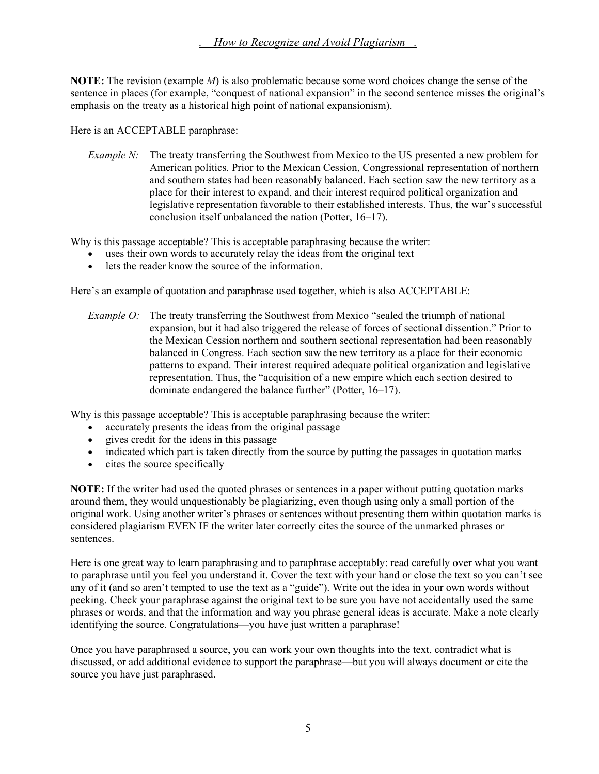**NOTE:** The revision (example *M*) is also problematic because some word choices change the sense of the sentence in places (for example, "conquest of national expansion" in the second sentence misses the original's emphasis on the treaty as a historical high point of national expansionism).

Here is an ACCEPTABLE paraphrase:

*Example N:* The treaty transferring the Southwest from Mexico to the US presented a new problem for American politics. Prior to the Mexican Cession, Congressional representation of northern and southern states had been reasonably balanced. Each section saw the new territory as a place for their interest to expand, and their interest required political organization and legislative representation favorable to their established interests. Thus, the war's successful conclusion itself unbalanced the nation (Potter, 16–17).

Why is this passage acceptable? This is acceptable paraphrasing because the writer:

- uses their own words to accurately relay the ideas from the original text
- lets the reader know the source of the information.

Here's an example of quotation and paraphrase used together, which is also ACCEPTABLE:

*Example O:* The treaty transferring the Southwest from Mexico "sealed the triumph of national expansion, but it had also triggered the release of forces of sectional dissention." Prior to the Mexican Cession northern and southern sectional representation had been reasonably balanced in Congress. Each section saw the new territory as a place for their economic patterns to expand. Their interest required adequate political organization and legislative representation. Thus, the "acquisition of a new empire which each section desired to dominate endangered the balance further" (Potter, 16–17).

Why is this passage acceptable? This is acceptable paraphrasing because the writer:

- accurately presents the ideas from the original passage
- gives credit for the ideas in this passage
- indicated which part is taken directly from the source by putting the passages in quotation marks
- cites the source specifically

**NOTE:** If the writer had used the quoted phrases or sentences in a paper without putting quotation marks around them, they would unquestionably be plagiarizing, even though using only a small portion of the original work. Using another writer's phrases or sentences without presenting them within quotation marks is considered plagiarism EVEN IF the writer later correctly cites the source of the unmarked phrases or sentences.

Here is one great way to learn paraphrasing and to paraphrase acceptably: read carefully over what you want to paraphrase until you feel you understand it. Cover the text with your hand or close the text so you can't see any of it (and so aren't tempted to use the text as a "guide"). Write out the idea in your own words without peeking. Check your paraphrase against the original text to be sure you have not accidentally used the same phrases or words, and that the information and way you phrase general ideas is accurate. Make a note clearly identifying the source. Congratulations—you have just written a paraphrase!

Once you have paraphrased a source, you can work your own thoughts into the text, contradict what is discussed, or add additional evidence to support the paraphrase—but you will always document or cite the source you have just paraphrased.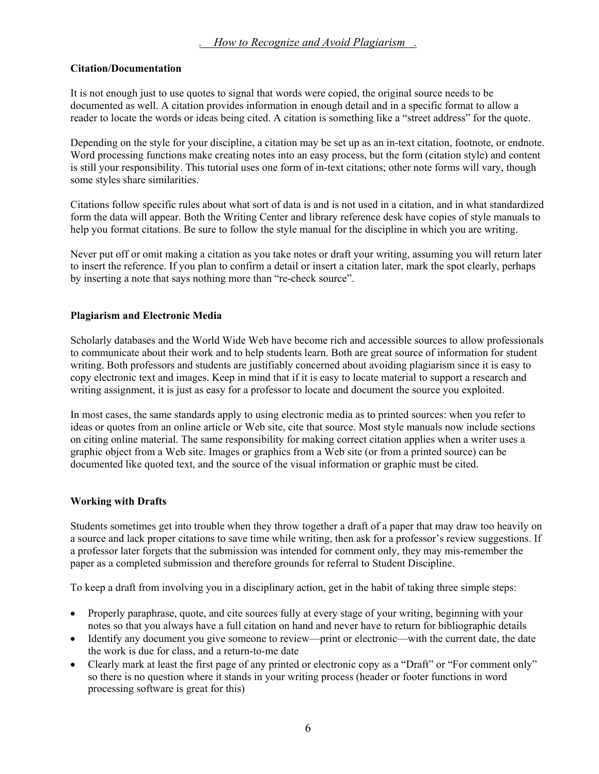#### **Citation/Documentation**

It is not enough just to use quotes to signal that words were copied, the original source needs to be documented as well. A citation provides information in enough detail and in a specific format to allow a reader to locate the words or ideas being cited. A citation is something like a "street address" for the quote.

Depending on the style for your discipline, a citation may be set up as an in-text citation, footnote, or endnote. Word processing functions make creating notes into an easy process, but the form (citation style) and content is still your responsibility. This tutorial uses one form of in-text citations; other note forms will vary, though some styles share similarities.

Citations follow specific rules about what sort of data is and is not used in a citation, and in what standardized form the data will appear. Both the Writing Center and library reference desk have copies of style manuals to help you format citations. Be sure to follow the style manual for the discipline in which you are writing.

Never put off or omit making a citation as you take notes or draft your writing, assuming you will return later to insert the reference. If you plan to confirm a detail or insert a citation later, mark the spot clearly, perhaps by inserting a note that says nothing more than "re-check source".

### **Plagiarism and Electronic Media**

Scholarly databases and the World Wide Web have become rich and accessible sources to allow professionals to communicate about their work and to help students learn. Both are great source of information for student writing. Both professors and students are justifiably concerned about avoiding plagiarism since it is easy to copy electronic text and images. Keep in mind that if it is easy to locate material to support a research and writing assignment, it is just as easy for a professor to locate and document the source you exploited.

In most cases, the same standards apply to using electronic media as to printed sources: when you refer to ideas or quotes from an online article or Web site, cite that source. Most style manuals now include sections on citing online material. The same responsibility for making correct citation applies when a writer uses a graphic object from a Web site. Images or graphics from a Web site (or from a printed source) can be documented like quoted text, and the source of the visual information or graphic must be cited.

### **Working with Drafts**

Students sometimes get into trouble when they throw together a draft of a paper that may draw too heavily on a source and lack proper citations to save time while writing, then ask for a professor's review suggestions. If a professor later forgets that the submission was intended for comment only, they may mis-remember the paper as a completed submission and therefore grounds for referral to Student Discipline.

To keep a draft from involving you in a disciplinary action, get in the habit of taking three simple steps:

- Properly paraphrase, quote, and cite sources fully at every stage of your writing, beginning with your notes so that you always have a full citation on hand and never have to return for bibliographic details
- Identify any document you give someone to review—print or electronic—with the current date, the date the work is due for class, and a return-to-me date
- Clearly mark at least the first page of any printed or electronic copy as a "Draft" or "For comment only" so there is no question where it stands in your writing process (header or footer functions in word processing software is great for this)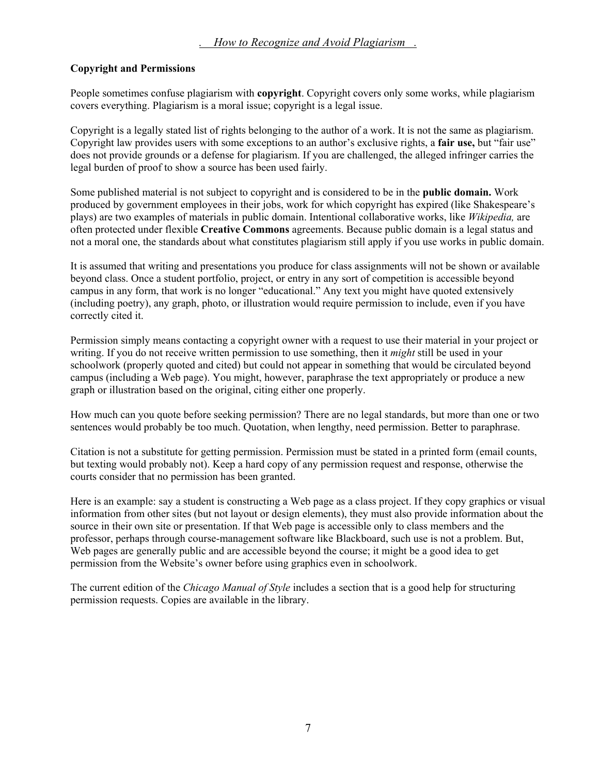#### **Copyright and Permissions**

People sometimes confuse plagiarism with **copyright**. Copyright covers only some works, while plagiarism covers everything. Plagiarism is a moral issue; copyright is a legal issue.

Copyright is a legally stated list of rights belonging to the author of a work. It is not the same as plagiarism. Copyright law provides users with some exceptions to an author's exclusive rights, a **fair use,** but "fair use" does not provide grounds or a defense for plagiarism. If you are challenged, the alleged infringer carries the legal burden of proof to show a source has been used fairly.

Some published material is not subject to copyright and is considered to be in the **public domain.** Work produced by government employees in their jobs, work for which copyright has expired (like Shakespeare's plays) are two examples of materials in public domain. Intentional collaborative works, like *Wikipedia,* are often protected under flexible **Creative Commons** agreements. Because public domain is a legal status and not a moral one, the standards about what constitutes plagiarism still apply if you use works in public domain.

It is assumed that writing and presentations you produce for class assignments will not be shown or available beyond class. Once a student portfolio, project, or entry in any sort of competition is accessible beyond campus in any form, that work is no longer "educational." Any text you might have quoted extensively (including poetry), any graph, photo, or illustration would require permission to include, even if you have correctly cited it.

Permission simply means contacting a copyright owner with a request to use their material in your project or writing. If you do not receive written permission to use something, then it *might* still be used in your schoolwork (properly quoted and cited) but could not appear in something that would be circulated beyond campus (including a Web page). You might, however, paraphrase the text appropriately or produce a new graph or illustration based on the original, citing either one properly.

How much can you quote before seeking permission? There are no legal standards, but more than one or two sentences would probably be too much. Quotation, when lengthy, need permission. Better to paraphrase.

Citation is not a substitute for getting permission. Permission must be stated in a printed form (email counts, but texting would probably not). Keep a hard copy of any permission request and response, otherwise the courts consider that no permission has been granted.

Here is an example: say a student is constructing a Web page as a class project. If they copy graphics or visual information from other sites (but not layout or design elements), they must also provide information about the source in their own site or presentation. If that Web page is accessible only to class members and the professor, perhaps through course-management software like Blackboard, such use is not a problem. But, Web pages are generally public and are accessible beyond the course; it might be a good idea to get permission from the Website's owner before using graphics even in schoolwork.

The current edition of the *Chicago Manual of Style* includes a section that is a good help for structuring permission requests. Copies are available in the library.